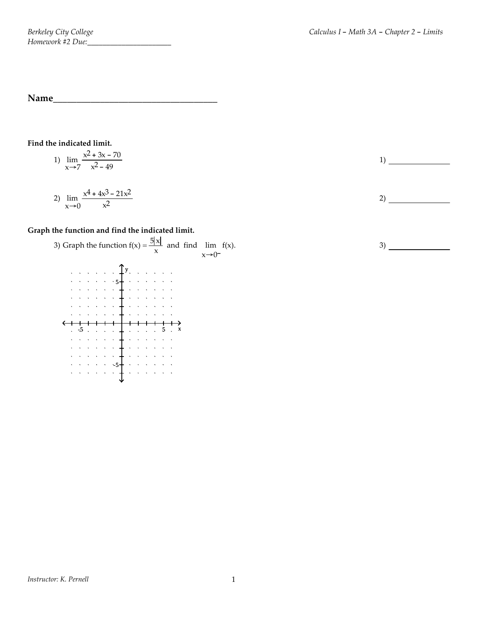**Name\_\_\_\_\_\_\_\_\_\_\_\_\_\_\_\_\_\_\_\_\_\_\_\_\_\_\_\_\_\_\_\_\_\_\_**

## **Find the indicated limit.**

1) 
$$
\lim_{x \to 7} \frac{x^2 + 3x - 70}{x^2 - 49}
$$

2) 
$$
\lim_{x \to 0} \frac{x^4 + 4x^3 - 21x^2}{x^2}
$$

## **Graph the function and find the indicated limit.**



1)

3)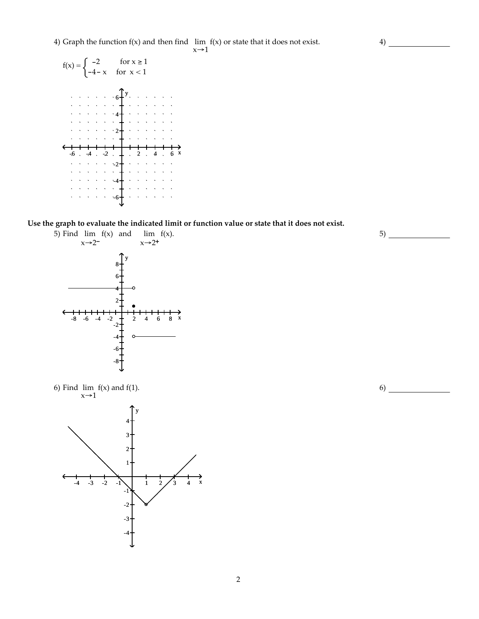4) Graph the function f(x) and then find lim f(x) or state that it does not exist.

 $x\rightarrow 1$ 



**Use the graph to evaluate the indicated limit or function value or state that it does not exist.**







6)

5)

4)

2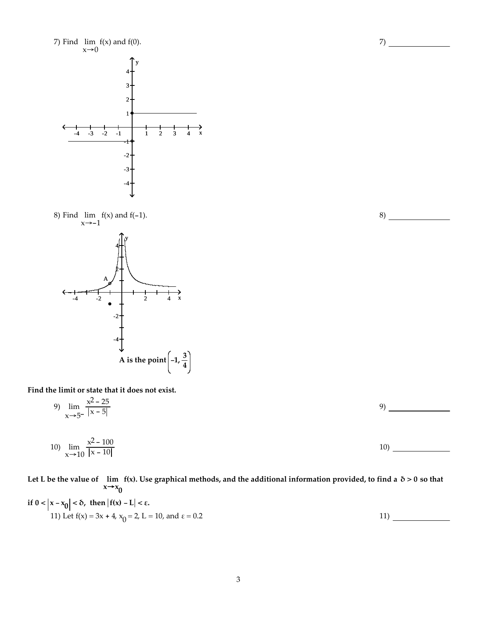

**Find the limit or state that it does not exist.**

7) Find lim

8) Find lim

 $x\rightarrow 0$ 

 $f(x)$  and  $f(0)$ .

9) 
$$
\lim_{x \to 5^{-}} \frac{x^2 - 25}{|x - 5|} \tag{9}
$$

10) 
$$
\lim_{x \to 10} \frac{x^2 - 100}{|x - 10|} \tag{10}
$$

Let L be the value of  $\;$  lim  $\;$  f(x). Use graphical methods, and the additional information provided, to find a  $\;$   $\delta$   $>$  0 so that  $x \rightarrow x_0$ 

if 
$$
0 < |x - x_0| < \delta
$$
, then  $|f(x) - L| < \epsilon$ .  
11) Let  $f(x) = 3x + 4$ ,  $x_0 = 2$ ,  $L = 10$ , and  $\epsilon = 0.2$ 

3

8)

 $7)$  —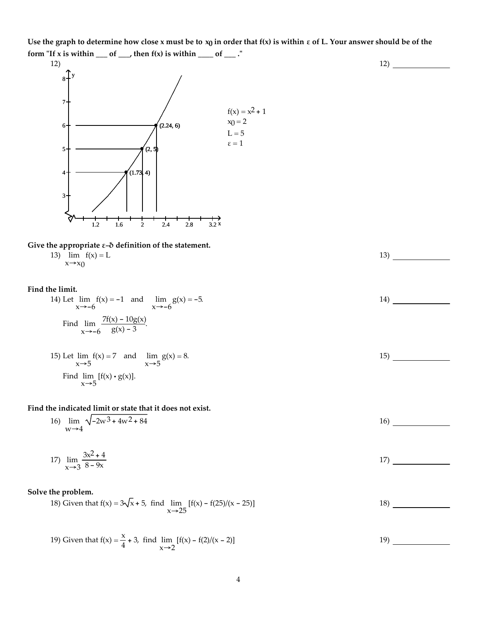Use the graph to determine how close x must be to  $x_0$  in order that  $f(x)$  is within  $\varepsilon$  of L. Your answer should be of the **form** "If x is within \_\_\_\_ of \_\_\_, then  $f(x)$  is within \_\_\_\_\_ of \_\_\_\_." 12)





 $x \rightarrow x_0$ 

### **Find the limit.**

14) Let lim x→-6  $f(x) = -1$  and  $\lim$ x→-6  $g(x) = -5.$ Find lim x→-6  $\frac{7f(x) - 10g(x)}{g(x) - 3}$ .

15) Let 
$$
\lim_{x \to 5} f(x) = 7
$$
 and  $\lim_{x \to 5} g(x) = 8$ .  
Find  $\lim_{x \to 5} [f(x) \cdot g(x)].$ 

## **Find the indicated limit or state that it does not exist.**

16) 
$$
\lim_{W \to 4} \sqrt{-2W^3 + 4W^2 + 84}
$$

17) 
$$
\lim_{x \to 3} \frac{3x^2 + 4}{8 - 9x}
$$

### **Solve the problem.**

18) Given that 
$$
f(x) = 3\sqrt{x} + 5
$$
, find  $\lim_{x \to 25} [f(x) - f(25)/(x - 25)]$  18)

19) Given that 
$$
f(x) = \frac{x}{4} + 3
$$
, find  $\lim_{x \to 2} [f(x) - f(2)/(x - 2)]$  19)

14)

15)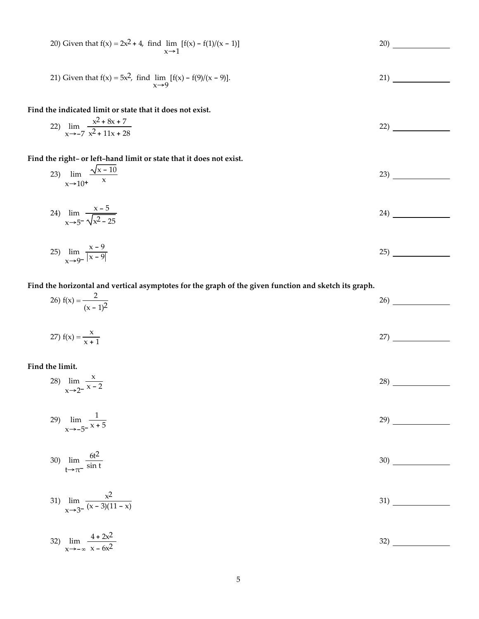20) Given that 
$$
f(x) = 2x^2 + 4
$$
, find  $\lim_{x\to1} [f(x) - f(1)/(x - 1)]$   
\n21) Given that  $f(x) = 5x^2$ , find  $\lim_{x\to2} [f(x) - f(9)/(x - 9)]$ .  
\n21) Given that  $f(x) = 5x^2$ , find  $\lim_{x\to2} [f(x) - f(9)/(x - 9)]$ .  
\n22) \_\_\_\_\_\_\_  
\nFind the indicated limit or state that it does not exist.  
\n23)  $\lim_{x\to2} \frac{x^2 + 8x + 7}{x^2 + 11x + 28}$   
\n23)  $\lim_{x\to10^+} \frac{\sqrt{x - 10}}{x}$   
\n24)  $\lim_{x\to5} \frac{x - 5}{\sqrt{x^2 - 25}}$   
\n25)  $\lim_{x\to9^-} \frac{x - 9}{|x - 9|}$   
\n26)  $f(x) = \frac{2}{(x - 1)^2}$   
\n27)  $f(x) = \frac{x}{x + 1}$   
\n28)  $\lim_{x\to2} \frac{x}{x^2 - 2}$   
\n29)  $\lim_{x\to6} \frac{1}{x^2 + 5}$   
\n21)  $\lim_{x\to2} \frac{x}{x^2 + 5}$   
\n22) \_\_\_\_\_\_\_  
\n23) \_\_\_\_\_\_\_  
\n24) \_\_\_\_\_\_\_  
\n25) \_\_\_\_\_\_\_  
\n26) \_\_\_\_\_\_\_  
\n27) \_\_\_\_\_\_\_  
\n28) \_\_\_\_\_\_\_  
\n29)  $\lim_{x\to6} \frac{1}{5x + 5}$   
\n29) \_\_\_\_\_\_\_  
\n20) \_\_\_\_\_\_\_  
\n21) \_\_\_\_\_\_\_  
\n22) \_\_\_\_\_\_\_  
\n23) \_\_\_\_\_\_\_  
\n24) \_\_\_\_\_\_\_  
\n25) \_\_\_\_\_\_\_  
\n26) \_\_\_\_\_\_\_  
\n27) \_\_\_\_\_\_\_  
\n28) \_\_\_\_\_\_\_  
\n29) \_\_\_\_\_\_\_  
\n20) \_\_\_\_\_\_\_  
\n21) \_\_\_\_\_\_\_  
\n22) \_\_\_\_\_\_\_  
\n23) \_\_\_\_\_\_\_  
\n24) \_\_\_\_\_\_\_  
\n25) \_\_\_\_\_\_\_  
\n26) \_\_\_\_\_\_\_  
\n28) \_\_\_\_\_\_\_  
\n29) \_\_\_\_\_\_\_  
\n20) \_\_\_\_\_\_\_  
\n21) \_\_\_\_\_\_\_  
\n22) \_\_\_\_\_\_\_  
\n23)

$$
30) \lim_{t \to \pi^-} \frac{6t^2}{\sin t}
$$

 $x \rightarrow -5^-$ 

31) 
$$
\lim_{x \to 3^{-}} \frac{x^2}{(x-3)(11-x)}
$$
31)

32) 
$$
\lim_{x \to -\infty} \frac{4 + 2x^2}{x - 6x^2}
$$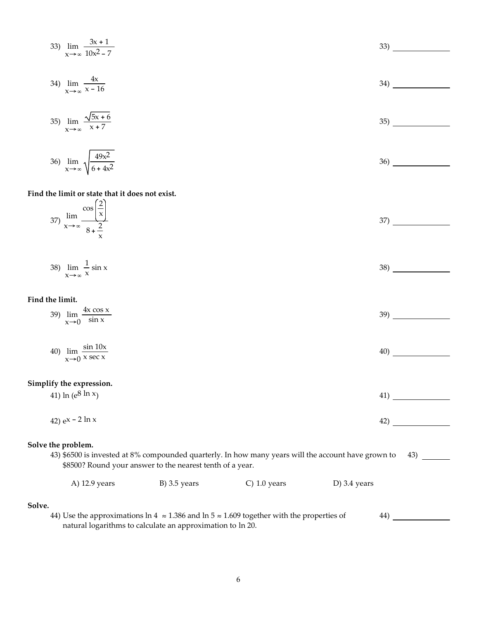33) 
$$
\lim_{x \to \infty} \frac{3x + 1}{10x^2 - 7}
$$

34) 
$$
\lim_{x \to \infty} \frac{4x}{x - 16}
$$

$$
35) \lim_{x \to \infty} \frac{\sqrt{5x + 6}}{x + 7}
$$

36) 
$$
\lim_{x \to \infty} \sqrt{\frac{49x^2}{6 + 4x^2}}
$$

#### **Find the limit or state that it does not exist.**  $(2)$

| $\sim$<br>CO5<br>lim<br>$37^{\circ}$<br>$x \rightarrow \infty$ | <u>_</u><br>$\lambda$<br>$\lambda$<br>$\sim$ $\sim$<br>$\delta$ + $-$ | $\sim$<br>ັ |
|----------------------------------------------------------------|-----------------------------------------------------------------------|-------------|
|                                                                | $\lambda$                                                             |             |

$$
\lim_{x \to \infty} \frac{1}{x} \sin x
$$

#### **Find the limit.**

| $4x \cos x$<br>39)<br>lim           | 39) |
|-------------------------------------|-----|
| $\left(x\rightarrow 0\right)$ sin x |     |
|                                     |     |

40) 
$$
\lim_{x \to 0} \frac{\sin 10x}{x \sec x}
$$
40)

#### **Simplify the expression.**

| 41) ln ( $e^{8}$ ln $x$ ) | II 1 |
|---------------------------|------|
|                           |      |

42) 
$$
e^{x - 2 \ln x}
$$
 42)

#### **Solve the problem.**

43) \$6500 is invested at 8% compounded quarterly. In how many years will the account have grown to \$8500? Round your answer to the nearest tenth of a year. 43)

| A) 12.9 years<br>$B)$ 3.5 years<br>$C)$ 1.0 years<br>D) 3.4 years |  |
|-------------------------------------------------------------------|--|
|-------------------------------------------------------------------|--|

#### **Solve.**

44) Use the approximations ln 4  $\approx$  1.386 and ln 5  $\approx$  1.609 together with the properties of natural logarithms to calculate an approximation to ln 20. 44)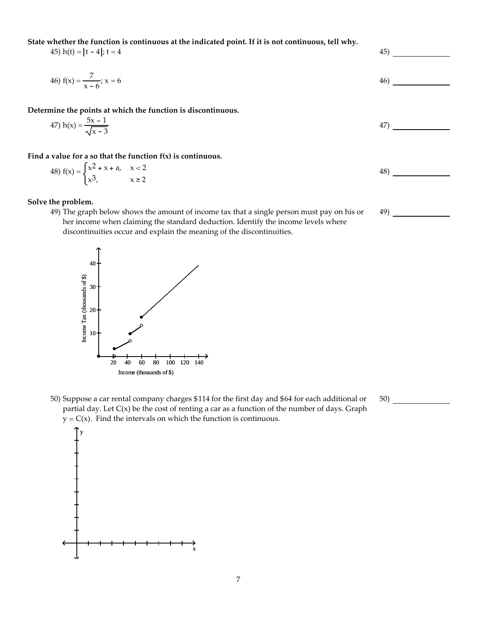**State whether the function is continuous at the indicated point. If it is not continuous, tell why.**

45)  $h(t) = |t - 4|$ ;  $t = 4$  45)

46) 
$$
f(x) = \frac{7}{x-6}
$$
;  $x = 6$ 

**Determine the points at which the function is discontinuous.**

47) 
$$
h(x) = \frac{5x - 1}{\sqrt{x - 3}}
$$

**Find a value for a so that the function f(x) is continuous.**

48) 
$$
f(x) = \begin{cases} x^2 + x + a, & x < 2 \\ x^3, & x \ge 2 \end{cases}
$$

### **Solve the problem.**

49) The graph below shows the amount of income tax that a single person must pay on his or her income when claiming the standard deduction. Identify the income levels where discontinuities occur and explain the meaning of the discontinuities.



50) Suppose a car rental company charges \$114 for the first day and \$64 for each additional or partial day. Let C(x) be the cost of renting a car as a function of the number of days. Graph  $y = C(x)$ . Find the intervals on which the function is continuous.



48)

49)

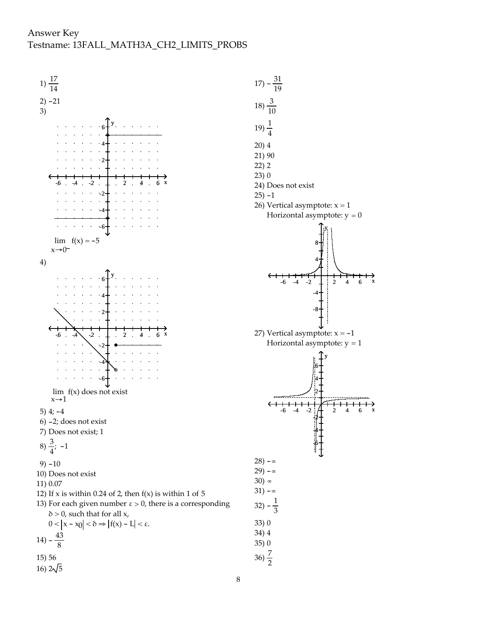## Answer Key Testname: 13FALL\_MATH3A\_CH2\_LIMITS\_PROBS



24) Does not exist 26) Vertical asymptote:  $x = 1$ Horizontal asymptote:  $y = 0$  $-6$   $-4$   $-2$   $\perp$   $2$   $4$   $6$  x y 8 4 -4 -8 27) Vertical asymptote:  $x = -1$ Horizontal asymptote:  $y = 1$  $-6$   $-4$   $-2$   $H$  2 4 6 x y 6 4 2 -2 -4 -6